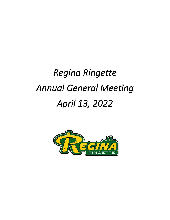# *Regina Ringette Annual General Meeting April 13, 2022*

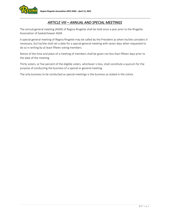

# *ARTICLE VIII – ANNUAL AND SPECIAL MEETINGS*

The annual general meeting (AGM) of Regina Ringette shall be held once a year prior to the Ringette Association of Saskatchewan AGM.

A special general meeting of Regina Ringette may be called by the President as when he/she considers it necessary, but he/she shall set a date for a special general meeting with seven days when requested to do so in writing by at least fifteen voting members.

Notice of the time and place of a meeting of members shall be given not less than fifteen days prior to the date of the meeting.

Thirty voters, or five percent of the eligible voters, whichever is less, shall constitute a quorum for the purpose of conducting the business of a special or general meeting.

The only business to be conducted as special meetings is the business as stated in the notice.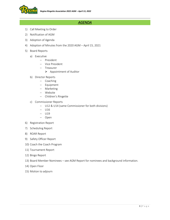

# *AGENDA*

- 1) Call Meeting to Order
- 2) Notification of AGM
- 3) Adoption of Agenda
- 4) Adoption of Minutes from the 2020 AGM April 15, 2021
- 5) Board Reports
	- a) Executive
		- − President
		- − Vice President
		- − Treasurer
			- ➢ Appointment of Auditor
	- b) Director Reports
		- − Coaching
		- − Equipment
		- − Marketing
		- − Website
		- − Children's Ringette
	- c) Commissioner Reports
		- − U12 & U14 (same Commissioner for both divisions)
		- − U16
		- − U19
		- − Open
- 6) Registration Report
- 7) Scheduling Report
- 8) ROAR Report
- 9) Safety Officer Report
- 10) Coach the Coach Program
- 11) Tournament Report
- 12) Bingo Report
- 13) Board Member Nominees see AGM Report for nominees and background information.
- 14) Open Floor
- 15) Motion to adjourn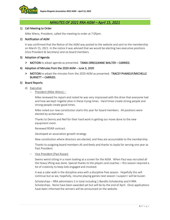

## *MINUTES OF 2021 RRA AGM – April 15, 2021*

## 1) Call Meeting to Order

Mike Wiens, President, called the meeting to order at 7:05pm.

## 2) Notification of AGM

It was confirmed that the Notice of the AGM was posted to the website and sent to the membership on March 15, 2021. In the notice it was advised that we would be electing two executive positions (Vice President & Secretary) and six board members.

## 3) Adoption of Agenda

 $\triangleright$  MOTION to adopt agenda as presented. TANIA ORR/LEANNE WALTER – CARRIED.

## 4) Adoption of Minutes from the 2020 AGM – June 3, 2020

➢ MOTION to adopt the minutes from the 2020 AGM as presented. TRACEY PHANEUF/MICHELLE BURNETT – CARRIED.

## 5) Board Reports

- d) Executive
	- − President (Mike Wiens) –

Mike reviewed his report and noted he was very impressed with the drive that everyone had and how we kept ringette alive in these trying times. Hard times create strong people and strong people create good times.

Mike noted our new constitution starts this year for board members. All positions were elected by acclamation.

Thanks to Dennis and Neil for their hard work in getting our move done to the new equipment room.

Renewed ROAR contract.

Developed an association growth strategy

New constitution where directors are elected, and they are accountable to the membership.

Thanks to outgoing board members Ali and Keely and thanks to Jayda for serving one year as Past President.

− Vice President (Paul Kozan)

Seems weird sitting in a room looking at a screen for the AGM. When Paul was recruited all the heavy lifting was done. Special thanks to the players and coaches – this season required a lot of creativity to keep kids engaged and involved.

It was a cake walk in the discipline area with a discipline-free season. Hopefully this will continue but as we, hopefully, resume playing games next season I suspect I will be busier.

Scholarships – RRA administers 5 in total including 1 Bandits Scholarship and 4 RRA Scholarships. None have been awarded yet but will be by the end of April. Once applications have been informed the winners will be announced on the website.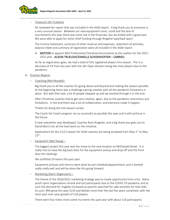

## − Treasurer (Ali Truelove)

Ali reviewed her report that was included in the AGM report. A big thank you to everyone in a very unusual season. Between our new equipment room, covid and the lack of tournaments this year there was some risk in the financials, but we ended with a good year. We were able to apply for some relief funding through Ringette Sask/Sask Sport.

The Income Statement, summary of other revenue and expenses, statement of activities, balance sheet and summary of registration were all included in the AGM report.

## $\triangleright$  MOTION to appoint RDS Professional Chartered Accountants as the auditor for the 2021-2022 year. ALISON TRUELOVE/DANELLE SCHOENHOFFEN – CARRIED.

As far as registration goes, we had a total of 542 registered players this season. This is a decrease of 53 from last year with the 18+ Open division losing the most players due to the pandemic.

#### e) Director Reports

## − Coaching (Mel Muckelt)-

Big thank you to all the coaches for going above and beyond and making the season possible. At the beginning there was a challenge pairing coaches with all the pandemic limitations in place. But with that said, a lot of people stepped up and we worked through it in the end.

After Christmas coaches had to get very creative, again, due to the pandemic restrictions and limitations. In the end there was a lot of collaboration, and everyone made it happen.

Thanks for doing the mid-season survey.

The Coach the Coach program ran as successful as possible this year and it will continue in the future.

A new newsletter was developed, Coaches Rock Ringette, and a big thank you goes out to David Morris for all the hard work on the initiative.

Applications for the 21/22 season for A/AA coaches are being accepted from May  $1<sup>st</sup>$  to May  $15<sup>th</sup>$ .

− Equipment (Neil Stang) –

The biggest project this year was the move to the new location on McDonald Street. It is really nice to have the big back door for the equipment pickup and drop off and the front door for meetings.

We outfitted 29 teams this past year.

Equipment pickups and returns were done by pre-schedule/appointment, and it worked really really well and will be done like this going forward.

− Marketing (Darin Degenstein) –

The theme of the 2020/2021 marketing strategy was to create opportunity from crisis. Many youth sport organizations shrank and lost participants due to the COVID-19 pandemic and as such the demand for ringette increased as parents searched for safe activities for their kids. As such, RRA grew this year (U19 and below) more than the last five years combined, with the most year-over-year growth of U16 players.

There were four times more come try events this past year with about 110 participants.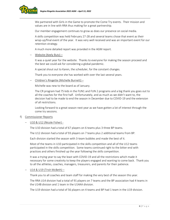

We partnered with Girls in the Game to promote the Come Try events. Their mission and values are in line with RRA thus making for a great partnership.

Our member engagement continues to grow as does our presence on social media.

A skills competition was held February 27-28 and several teams chose that event as their wrap-up/final event of the year. It was very well received and was an important event for our retention strategy.

A much more detailed report was provided in the AGM report.

− Website (Keely Butz) –

It was a quiet year for the website. Thanks to everyone for making the season proceed and the best we could ask for considering a global pandemic.

A special shout out to Karen, the scheduler, for the constant changes.

Thank you to everyone she has worked with over the last several years.

− Children's Ringette (Michelle Burnett) –

Michelle was new to the board as of January.

The CR program had 75 kids in the FUN1 and FUN 2 programs and a big thank you goes out to all the coaches for the first half. Unfortunately, and as much as we didn't want to, the decision had to be made to end the season in December due to COVID-19 and the extension of all restrictions.

Looking forward to a great season next year as we have gotten a lot of interest through the come try sessions.

#### f) Commissioner Reports

− U10 & U12 (Nicole Fisher) -

The U10 division had a total of 67 players on 6 teams plus 3 three BP teams.

The U12 division had a total of 93 players on 7 teams plus 2 additional teams from BP.

Each division started the season with 3-team bubbles and made the best of it.

Most of the teams in U10 participated in the skills competition and all of the U12 teams participated in the skills competition. Some teams continued right to the bitter end with practices and others finished up the year following the skills competition.

It was a trying year to say the least with COVID-19 and all the restrictions which made it necessary for some creativity to keep the players engaged and wanting to come back. Thank you to all the athletes, coaches, managers, treasurers, and parents for their patience.

#### − U14 & U19 (Trish McBeth) –

Thank you to all coaches and team staff for making the very best of the season this year.

The RRA U14 division had a total of 91 players on 7 teams and the BP association had 4 teams in the U14B division and 1 team in the U14AA division.

The U19 division had a total of 56 players on 4 teams and BP had 1 team in the U19 division.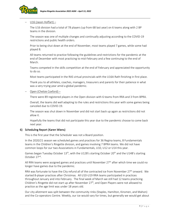

## − U16 (Jason Hoffart) –

The U16 division had a total of 78 players (up from 68 last year) on 6 teams along with 2 BP teams in the division.

The season was one of multiple changes and continually adjusting according to the COVID-19 restrictions and public health orders.

Prior to being shut down at the end of November, most teams played 7 games, while some had played 8.

All teams returned to practice following the guidelines and restrictions for the pandemic at the end of December with most practicing to mid-February and a few continuing to the end of March.

Teams competed in the skills competition at the end of February and appreciated the opportunity to do so.

Most teams participated in the RAS virtual provincials with the U16A Rath finishing in first place.

Thank you to all athletes, coaches, managers, treasurers and parents for their patience in what was a very trying year amid a global pandemic.

## − Open (Chelsie Coxford) –

There were 89 registered players in the Open division with 6 teams from RRA and 3 from BPRA.

Overall, the teams did well adapting to the rules and restrictions this year with some games being canceled due to COVID-19.

The season was shut down in November and did not start back up again as restrictions did not allow it.

Hopefully the teams that did not participate this year due to the pandemic choose to come back next year.

## 6) Scheduling Report (Karen Wiens)

This is the first year that the Scheduler was not a Board position.

In the 2020/21 season we scheduled games and practices for 36 Regina teams, 8 Fundamentals teams in the Children's Ringette division, and games involving 7 BPRA teams. We did not have common loops for our two Associations in Fundamentals, U10, U12 or U14 this year.

Games began Tuesday October  $13<sup>th</sup>$ , with the U12B's starting October 20<sup>th</sup> and the U14B's starting October 27<sup>nd</sup>.

All RRA teams were assigned games and practices until November  $27<sup>th</sup>$  after which time we could no longer have games due to the pandemic.

RRA was fortunate to have the City refund all of the contracted ice from November 27<sup>th</sup> onward. We started 8-player practices after Christmas. All U10-U19 RRA teams participated in practices throughout January and into February. The final week of March we still had 12 teams practicing. Children's Ringette did not start up after November  $27<sup>th</sup>$ , and Open Players were not allowed to practice as the age limit was under 18 years old.

Our city allotment was split between the community rinks (Staples, Hamilton, Kinsmen, and Mahon) and the Co-operators Centre. Weekly, our ice would vary for times, but generally we would get about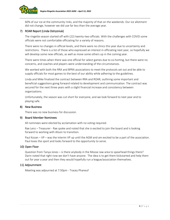

60% of our ice at the community rinks, and the majority of that on the weekends. Our ice allotment did not change, however we did use far less than the average year.

## 7) ROAR Report (Linda Ostryzniuk)

The ringette season started off with (22) twenty-two officials. With the challenges with COVID some officials were not comfortable officiating for a variety of reasons.

There were no changes in official levels, and there were no clinics this year due to uncertainty and restrictions. There is a list of those who expressed an interest in officiating next year, so hopefully we will develop some new officials, as well as move some others up in the coming year.

There were times when there was one official for select games due to co-horting, but there were no concerns, and coaches and players were understanding of the circumstances.

We worked with both the RRA and BPRA associations to meet the protocols set out and be able to supply officials for most games to the best of our ability while adhering to the guidelines.

Linda and Mike finalized the contract between RRA and ROAR, outlining some important and beneficial suggestions going forward related to development and communication. The contract was secured for the next three years with a slight financial increase and consistency between organizations.

Unfortunately, the season was cut short for everyone, and we look forward to next year and to playing safe.

## 8) New Business

There was no new business for discussion.

## 9) Board Member Nominees

All nominees were elected by acclamation with no voting required.

Rae Lenz – Treasurer - Rae spoke and noted that she is excited to join the board and is looking forward to working with Alison to transition.

Paul Kozan – VP – was the interim VP up until the AGM and am excited to be a part of the association. Paul loves the sport and looks forward to the opportunity to serve.

## 10) Open Floor

Question from Tanya Jones – is there anybody in the Moose Jaw area to spearhead things there? Darin noted that right now we don't have anyone. The idea is to get them kickstarted and help them out for year a year and then they would hopefully run a league/association themselves.

## 11) Adjournment

Meeting was adjourned at 7:50pm - Tracey Phaneuf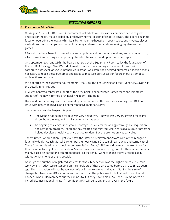

## *EXECUTIVE REPORTS*

## $\triangleright$  President – Mike Wiens

On August 27, 2021, RRA's 3 on 3 tournament kicked off. And so, with a combined sense of great anticipation, relief, maybe disbelief, a relatively normal season of ringette began. The board began to focus on operating the league (this list is by no means exhaustive) - coach selections, tryouts, player evaluations, drafts, camps, tournament planning and execution and overseeing regular-season games.

RRA switched to a Teamlinkt hosted site and app. Jenn and her team have done, and continue to do, a ton of work supporting and improving the site. She will expand upon this in her report.

On September 10th and 11th, the board gathered at the Equipment Room to lay the foundation of the first RRA Strategic Plan. We didn't want to waste time creating a document littered with corporate fluff speak or vague intangibles. Instead, we established desired outcomes, specific actions necessary to reach these outcomes and ratios to measure our success or failure in our attempt to achieve these outcomes.

We operated three successful tournaments - the Elite, the Jim Benning and the Queen City. Jayda has the details in her report.

RRA was happy to renew its support of the provincial Canada Winter Games team and initiate its support of the newly formed provincial NRL team - The Heat.

Darin and his marketing team had several dynamic initiatives this season - including the RRA Food Drive with passes to Iceville and a comprehensive member survey.

There were a few challenges this year:

- The Mahon not being available was very disruptive. I know it was very frustrating for teams throughout the league. I thank you for your patience.
- An ongoing challenge is the goalie shortage. So, we created an aggressive goalie acquisition and retention program. I shouldn't say created but reintroduced. Years ago, a similar program helped develop a healthy balance of goaltenders. But the promotion was cancelled.

The Volunteer Appreciation Night 2022 saw the Lifetime Achievement Award committee recognize four individuals - Coach Marcel Garnier, posthumously Linda Ostryzniuk, Larry Way and Lorna Kathol. These four people added so much to our association. Today's RRA would be much weaker if not for their passion, foresight, and dedication. Several coaches were also recognized for their achievements, mainly based on parent and athlete feedback. To that end, I want to thank the volunteers again, without whom none of this is possible.

Although the number of registered athletes for the 21/22 season was the highest since 2017, much work awaits. Today, we're standing on the shoulders of those who came before us - 10, 15, 20 years ago. The association will face headwinds. We will have to evolve and adapt. Not for the sake of change, but to ensure RRA can offer and support what the public wants. But when I think of what happens when RRA members put their minds to it, if they have a plan, I've seen RRA members do incredible, inspirational things. I'm confident RRA will be stronger than ever in the future.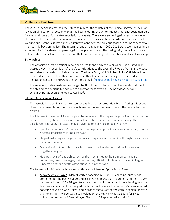

## ➢ VP Report - Paul Kozan

The 2021-2022 Season marked the return to play for the athletes of the Regina Ringette Association. It was an almost normal season with a small bump during the winter months that saw Covid numbers flare up and some unfortunate cancellation of events. There were some lingering restrictions over the course of the year like the mandatory presentation of vaccination records and of course mask wearing but in general it was a marked improvement over the previous season in terms of getting our membership back on the ice. The return to regular league play in 2021-2022 was accompanied by an expected rise in incidents compared against the previous year. That being said, the incidents were mild in nature and all in all it was a season that featured some great competition and sportsmanship.

## **Scholarships**

The Association lost an official, player and great friend early this year when Linda Ostryzniuk passed away. In recognition of Linda's contributions to the sport the RRA is offering a new post secondary scholarship in Linda's honour. The Linda Ostryzniuk Scholarship for Officials will be awarded for the first time this year. For any officials who are attending a post secondary institution consult the RRA website for more details [\(Scholarships | Regina Ringette Association\)](https://reginaringette.com/scholarships/)

The Association also made some changes to ALL of the scholarship deadlines to allow student athletes more opportunity and time to apply for these awards. The new deadline for ALL scholarships has been extended to April 30<sup>th</sup>.

## Lifetime Achievement Awards

The Association was finally able to resurrect its Member Appreciation Event. During this event there some presentations to Lifetime Achievement Award winners. Here's the criteria for the awards:

The Lifetime Achievement Award is given to members of the Regina Ringette Association (past or present) in recognition of their exceptional leadership, service, and passion for ringette excellence. Each year, this award may be given to one or more people who have:

- Spent a minimum of 25 years within the Regina Ringette Association community or other ringette associations in Saskatchewan
- Helped make Regina Ringette the outstanding association that it is through their actions and contributions
- Made significant contributions which have had a long-lasting positive influence on ringette in Regina
- Held positions of leadership, such as (but not limited to) board member, chair of committee, coach, manager, trainer, builder, official, volunteer, and player in Regina Ringette or other ringette associations in Saskatchewan.

The following individuals we honoured at this year's Member Appreciation Event:

• *Marcel Garnier - 2021* - Marcel started coaching in 1980. His coaching journey has continued for the past 42 years and has involved many teams during that time. In 1997 he coached the U16AA Stingers to a silver medal at Nationals and the following year the team was able to capture the gold medal. Over the years the teams he's been involved coaching have also won 4 silver and 2 bronze medals at the Western Canadian Ringette Championships. Marcel was also involved on the Regina Ringette Board for 8 years holding he positions of Coach/Player Director, AA Representative and VP.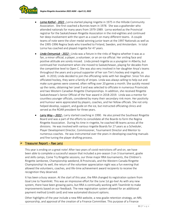

- *Lorna Kathol 2022* Lorna started playing ringette in 1975 in the Hillside Community Association. She first coached a Bunnies team in 1978. She was a goaltender who attended nationals for many years from 1979-1989. Lorna worked as the Provincial registrar for the Saskatchewan Ringette Association in the mid-eighties and continued her deep involvement with the sport as a coach on many different teams. A couple teams of note were the silver medal winning junior team at the 1997 Nationals as well as the 1995-1996 Regina Seals who travelled to Finland, Sweden, and Amsterdam. In total Lorna has coached and played ringette for 47 years.
- *Linda Ostryzniuk 2022* Linda was a fixture in the rinks of Regina whether it was as a fan, a minor official, a player, a volunteer, or an on-ice official. Her smiling face and positive attitude are sorely missed. Linda joined ringette as a youngster in Alberta, but continued her involvement when she moved to Saskatchewan, playing for decades from the competitive level to Open C. She was also very involved in her daughter Anya's teams throughout the years and a proud supporter of her son Tim's hockey and ringette, as well. In 2010, Linda decided to join the officiating ranks with her daughter. Since Tim also officiated hockey, they were a family of stripes. Linda was always willing to help out and make sure games were covered, often reffing over 20 games a month. She quickly moved up the ranks, obtaining her Level 3 and was selected to officiate in numerous Provincials and two Western Canadian Ringette Championships. In addition, she received Ringette Saskatchewan's Senior Official of the Year award in 2018-2019. Linda was a mentor for countless younger officials, considered by many their secondary rink mom. Her positivity and humour were appreciated by players, coaches, and her fellow officials. She not only helped develop, support, and guide on the ice, but instructed officiating clinics and served as the ROAR president for three years.
- Larry Way 2022 Larry started coaching in 1990. He also joined the Southeast Ringette Board and was a part of the efforts to consolidate all the Boards to form the Regina Ringette Association. During his time in ringette, he coached 48 teams across all the divisions. He was involved with various ringette Boards for 27 years as a Scheduler, Player Development Director, Commissioner, Tournament Director and Mentor to numerous coaches. He was instrumental over the years in developing coaching manuals and fine tuning the player drafting process.

## $\triangleright$  Treasurer Report – Rae Lenz

This year is ending on a great note! After two years of covid restrictions off and on, we have been able to complete a successful season that included a pre-season 3 on 3 tournament, goalie and skills camps, Come Try Ringette sessions, our three major RRA tournaments, the Children's Ringette Jamboree, Championship weekend, B Provincials, and the Western Canada Ringette Championship! As well, the return of the volunteer appreciation night was a fun evening that allowed the volunteers, coaches, and life-time achievement award recipients to receive the recognition they deserved.

It has been a busy season. At the start of this year, the RRA changed its registration system from Goal Line to Teamlinkt. This was an impressive effort for the June 1st go-live! As with any new system, there have been growing pains, but RRA is continually working with Teamlinkt to make improvements based on our feedback. The new registration system allowed for an additional payment method (credit card) and new automated discount options.

Other highlights of the year include a new RRA website, a new goalie retention strategy, an NRL sponsorship, and approval of the creation of a Finance Committee. This purpose of a Finance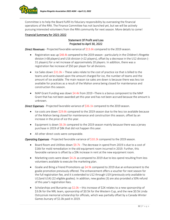

Committee is to help the Board fulfill its fiduciary responsibility by overseeing the financial operations of the RRA. The Finance Committee has not launched yet, but we will be actively pursuing interested volunteers from the RRA community for next season. More details to come!

## Financial Summary for 2021-2022

## Statement Of Profit and Loss Projected to April 30, 2022

*Direct Revenues* - Projected favorable variance of \$13.6k compared to the 2019 season.

- Registration was up \$48.4k compared to the 2019 season particularly in the Children's Ringette division (+38 players) and U16 division (+22 players), offset by a decrease in the U12 division (- 31 players) for a net increase of approximately 20 players. In addition, there was a registration fee increase of \$50 per player for all divisions.
- Ice Sales down \$31.0k These sales relate to the cost of practice ice that is billed to the teams and varies based upon the amount charged for ice, the number of teams and the amount of ice available. The main reason ice sales are down is because there was less ice available for practices as a result of the Mahon arena being closed for maintenance and construction this season.
- MAP Grant Funding was down \$4.4k from 2019 –There is a bonus component to the MAP Grant that has not been awarded yet this year and has not been accrued because the amount is unknown.

*Direct Expenses* - Projected favorable variance of \$36.1k compared to the 2019 season.

- Ice costs are down \$29.6k compared to the 2019 season due to the less ice available because of the Mahon being closed for maintenance and construction this season, offset by an increase in the price of ice this year.
- Equipment is down  $$6.3k$  compared to the 2019 season mainly because there was a jersey purchase in 2019 of \$8k that did not happen this year.
- All other direct costs were comparable.

*Operating Expenses* - Projected favorable variance of \$10.2k compared to the 2019 season.

- Board Room and Utilities down \$9.7k The decrease in spend from 2019 is due to a cost of \$16k for mold remediation in the old equipment room incurred in 2019. Further, this favorable variance is offset by a \$9k increase in rent at the new equipment room.
- Marketing costs were down \$4.2k as compared to 2019 due to less spend resulting from less volunteers available to execute the marketing plan.
- Goalie and Bring a Friend Promotions up \$4.9k compared to 2019 due an enhancement to the goalie promotion previously offered. The enhancement offers a voucher for next season for the full registration fee, and it is extended to U12 through U19 (previously only available to U12and U14) (22 eligible goalies). In addition, new goalies (3) are also provided a 50% refund of this year's registration fees.
- Scholarships and Bursaries up  $$2.0k this$  increase of  $$2K$  relates to a new sponsorship of \$3.0k for the NRL team, sponsorship of \$0.5k for the Western Cup, and the new \$0.5k Linda Ostryzniuk memorial scholarship for officials, which was partially offset by a Canada Winter Games bursary of \$1.0k paid in 2019.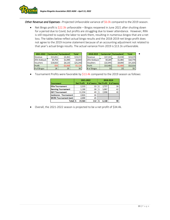

*Other Revenue and Expenses* - Projected Unfavorable variance of \$6.0k compared to the 2019 season.

• Net Bingo profit is \$22.3k unfavorable – Bingos reopened in June 2021 after shutting down for a period due to Covid, but profits are struggling due to lower attendance. However, RRA is still required to supply the labor to work them, resulting in numerous bingos that are a net loss. The tables below reflect actual bingo results and the 2018-2019 net bingo profit does not agree to the 2019 income statement because of an accounting adjustment not related to that year's actual bingo results. The actual variance from 2019 is \$13.1k unfavorable.

| 2021-2022       |          | Centennial   Fantasyland | Total     | 2018-2019       | <b>Centennial</b> | Fantasyland | Total    |
|-----------------|----------|--------------------------|-----------|-----------------|-------------------|-------------|----------|
| <b>IRevenue</b> | \$15.011 | \$4,361                  | \$19,372  | Revenue         | \$37.141          | \$5.938     | \$43,079 |
| 25% Kickback    | \$3,753  | \$1,090                  | \$4,843   | 25% Kickback    | \$9,285           | \$1,484     | \$10,770 |
| <b>Nouchers</b> | \$18,820 | \$6,520                  | \$25,340  | <b>Vouchers</b> | \$32,945          | \$8,890     | \$41,835 |
| Profit          | $-$ \$56 | $-$1,068$                | $-51,124$ | Profit          | \$13,481          | $-51,468$   | \$12,014 |
| # of Bingos     | 16       | 20                       | 36        | # of Bingos     | 32                | 23          | 55       |

• Tournament Profits were favorable by \$13.4k compared to the 2019 season as follows:

|                              | 2021-2022 |                                             |          | 2018-2019 |    |  |  |
|------------------------------|-----------|---------------------------------------------|----------|-----------|----|--|--|
| Tournment                    |           | Net Profit # of teams Net Profit # of teams |          |           |    |  |  |
| <b>Elite Tournament</b>      | 2,215     | 13                                          | -Ś       | 2,727     | 16 |  |  |
| <b>Benning Tournament</b>    | 1,190     | 18                                          | <b>S</b> | 5,987     | 42 |  |  |
| <b>QCC Tournament</b>        | 11,334    | 40                                          | 'S       | 2,908     | 40 |  |  |
| Jamboree - Tournament        | 2.826     | 16                                          |          |           |    |  |  |
| <b>WCRC Tournament (est)</b> | 2,000     | 25                                          |          |           |    |  |  |
| Total                        | 19,564    | 112                                         |          | 6.168     | 98 |  |  |

• Overall, the 2021-2022 season is projected to be a net profit of \$34.4k.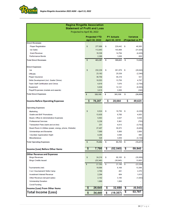

# **Regina Ringette Association**

**Statement of Profit and Loss**  $\frac{1}{20}$  $\sim$ 

| i rojecteu to April Jo, zozz                           |    |                      |    |                   |    |                   |
|--------------------------------------------------------|----|----------------------|----|-------------------|----|-------------------|
|                                                        |    | <b>Projected YTD</b> |    | <b>PY Actuals</b> |    | <b>Variance</b>   |
|                                                        |    | April 30, 2022       |    | April 30, 2019    |    | (Projected vs PY) |
| <b>Direct Revenues</b>                                 |    |                      |    |                   |    |                   |
| <b>Player Registration</b>                             | s  | 277,806              | s  | 229,442           | S  | 48,365            |
| <b>Ice Sales</b>                                       |    | 112,943              |    | 143,968           |    | (31, 026)         |
| <b>Grant Revenue</b>                                   |    | 10,338               |    | 14,764            |    | (4, 426)          |
| <b>Performance Bonds</b>                               |    | 2,300                |    | 1,650             |    | 650               |
| <b>Total Direct Revenues</b>                           | s  | 403,387              | s  | 389,823           | s  | 13,564            |
| <b>Direct Expenses</b>                                 |    |                      |    |                   |    |                   |
| Ice                                                    | s  | 232,239              | s  | 261,879           | S  | (29, 640)         |
| <b>Officials</b>                                       |    | 23,192               |    | 25,539            |    | (2, 346)          |
| Player Insurance                                       |    | 36,750               |    | 36,219            |    | 531               |
| Skills Development (incl. Goalie Clinics)              |    | 18,553               |    | 13,756            |    | 4,797             |
| <b>Team Staff Certification and Clinics</b>            |    | 4,918                |    | 7,676             |    | (2,758)           |
| Equipment                                              |    | 5,838                |    | 12,141            |    | (6, 303)          |
| Playoff Expenses (medals and awards)                   |    | 3,610                |    | 3,950             |    | (340)             |
| <b>Total Direct Expenses</b>                           | \$ | 325,100              | \$ | 361,159           | s  | (36,060)          |
| <b>Income Before Operating Expenses</b>                | \$ | 78,287               | \$ | 28,664            | \$ | 49,623            |
|                                                        |    |                      |    |                   |    |                   |
| <b>Operating Expenses</b>                              |    |                      |    |                   |    |                   |
| Marketing                                              | s  | 6,524                | s  | 10,750            | ్య | (4,226)           |
| Goalie and BAF Promotions                              |    | 13,635               |    | 8,700             |    | 4,935             |
| Board, Office & Administrative Expenses                |    | 5,563                |    | 2,027             |    | 3,536             |
| <b>Professional Services</b>                           |    | 5,236                |    | 5,991             |    | (755)             |
| Transaction Fees (bank and on-line)                    |    | 231                  |    | 4,013             |    | (3,782)           |
| Board Room & Utilities (power, energy, phone, Website) |    | 27,487               |    | 36,972            |    | (9, 485)          |
| <b>Scholarships and Bursaries</b>                      |    | 7,000                |    | 5,000             |    | 2,000             |
| <b>Volunteer Appreciation Night</b>                    |    | 4,288                |    | 3,598             |    | 690               |
| <b>Miscellaneous</b>                                   |    | 528                  |    | 3,659             |    | (3, 130)          |
| <b>Total Operating Expenses</b>                        | \$ | 70,492               | s  | 80,709            | \$ | (10, 217)         |
|                                                        | s  | 7,795                | \$ | (52, 045)         | \$ | 59,840            |
| Income (Loss) Before Other Items                       |    |                      |    |                   |    |                   |
| <b>Other Revenue and Expenses</b>                      |    |                      |    |                   |    |                   |
| <b>Bingo Revenues</b>                                  |    | 24,216               |    | 60,105            |    | (35, 889)         |
| <b>Bingo Credits Issued</b>                            |    | (25, 340)            |    | (38, 945)         |    | 13,605            |
|                                                        | s  | (1, 124)             | s  | 21,160            | -S | (22, 284)         |
| Tournaments (net)                                      |    | 19,564               |    | 6,168             |    | 13,396            |
| 3 on 3 tournament/ Skills Camp                         |    | 2,769                |    | 491               |    | 2,278             |
| <b>Investment Interest Revenue</b>                     |    | 2,294                |    | 684               |    | 1,610             |
| Other Revenue (net pant sales)                         |    | 2,142                |    | 3,185             |    | (1,043)           |
| <b>Scholarship Donation</b>                            |    | 1,000                |    | 1,000             |    |                   |
| <b>Covid Funding</b>                                   |    |                      |    |                   |    |                   |
| Income (Loss) From Other Items                         | \$ | 26,645               | \$ | 32,688            | \$ | (6, 043)          |
| <b>Total Income (Loss)</b>                             |    |                      |    |                   | \$ | 53,797            |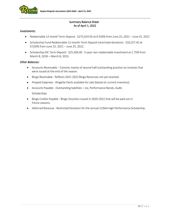

## Summary Balance Sheet As of April 1, 2022

## *Investments:*

- Redeemable 12-month Term Deposit: \$275,024.05 at 0.550% from June 25, 2021 June 25, 2022
- Scholarship Fund-Redeemable 12-month Term Deposit (restricted donation): \$10,257.45 at 0.550% from June 25, 2021 – June 25, 2022.
- Scholarship GIC Term Deposit: \$25,506.00 5-year non-redeemable investment at 1.75% from March 8, 2018 – March 8, 2023.

## *Other Balances:*

- Accounts Receivable Consists mainly of second half outstanding practice ice invoices that were issued at the end of the season.
- Bingo Receivable Reflects 2021-2022 Bingo Revenues not yet received.
- Prepaid Expenses Ringette Pants available for sale (based on current inventory)
- Accounts Payable Outstanding liabilities Ice, Performance Bonds, Audit, **Scholarships**
- Bingo Credits Payable Bingo Vouchers issued in 2020-2022 that will be paid out in future seasons.
- Deferred Revenue Restricted Donation for the annual U19AA High Performance Scholarship.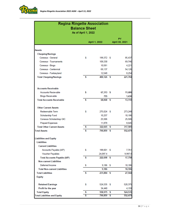

# **Regina Ringette Association Balance Sheet** As of April 1, 2022

|                                         |    |               |    | PY             |
|-----------------------------------------|----|---------------|----|----------------|
|                                         |    | April 1, 2022 |    | April 30, 2021 |
|                                         |    |               |    |                |
| <b>Assets</b>                           |    |               |    |                |
| <b>Chequing/Savings</b>                 |    |               |    |                |
| Conexus - General                       | S  | 199,372 \$    |    | 85,437         |
| <b>Conexus - Tournaments</b>            |    | 109,330       |    | 69,746         |
| Conexus - Bingo<br>Conexus - Centennial |    | 10,581        |    | 4,221          |
|                                         |    | 69,137        |    | 54,126         |
| Conexus - Fantasyland                   |    | 12,548        |    | 8,254          |
| <b>Total Chequing/Savings</b>           | \$ | 400,126 \$    |    | 221,784        |
| <b>Accounts Receivable</b>              |    |               |    |                |
| <b>Accounts Recievable</b>              | s  | 67,313 \$     |    | 11,680         |
| <b>Bingo Receivable</b>                 |    | 755           |    | 1,430          |
| <b>Total Accounts Receivable</b>        | Ŝ  | 68,068        | s  | 13,110         |
| <b>Other Current Assets</b>             |    |               |    |                |
| Redeemable Term                         | s  | 275,024       | S  | 273,248        |
| Scholarship Fund                        |    | 10,257        |    | 10,186         |
| Conexus Scholarshop GIC                 |    | 25,506        |    | 25,506         |
| Prepaid Expenses                        |    | 11,878        |    | 8,645          |
| <b>Total Other Current Assets</b>       | \$ | 322,665       | s  | 317,585        |
| <b>Total Assets</b>                     | Ś  | 790,859       | S  | 552,479        |
| <b>Liabilities and Equity</b>           |    |               |    |                |
| <b>Liabilities</b>                      |    |               |    |                |
| <b>Current Liabilities</b>              |    |               |    |                |
| Accounts Payable (A/P)                  | s  | 198,601       | S  | 7,761          |
| <b>Voucher Payables</b>                 |    | 24,097.4      |    | 9,997.0        |
| <b>Total Accounts Payable (A/P)</b>     | \$ | 222,698       | S  | 17,758         |
| <b>Non-current Liabilities</b>          |    |               |    |                |
| Deferred Income                         | \$ | 9,186         | S  | 10,186         |
| <b>Total Non-current Liabilities</b>    |    | 9,186         |    | 10,186         |
| <b>Total Liabilities</b>                | s  | 231,884       | -S | 27,944         |
| <b>Equity</b>                           |    |               |    |                |
| <b>Retained Earnings</b>                | s  | 524,535       | S  | 520,375        |
| Profit for the year                     |    | 34,440        |    | 4,159          |
| <b>Total Equity</b>                     | \$ | 558,975       | \$ | 524,535        |
| <b>Total Liabilities and Equity</b>     | Ŝ  | 790,859       | s  | 552,479        |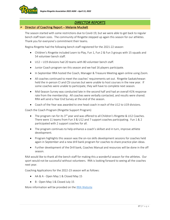

# *DIRECTOR REPORTS*

## ➢ Director of Coaching Report – Melanie Muckelt

The season started with some restrictions due to Covid-19, but we were able to get back to regular bench staff team sizes. The community of Ringette stepped up again this season for our athletes. Thank you for everyone's commitment their teams.

Regina Ringette had the following bench staff registered for the 2021-22 season:

- Children's Ringette included Learn to Play, Fun 1, Fun 2 & Fun 3 groups with 15 squads and 54 volunteer bench staff.
- $\bullet$  U12 U19 divisions had 20 teams with 80 volunteer bench staff.
- Junior Coach program ran this season and we had 16 players participate.
- In September RRA hosted the Coach, Manager & Treasure Meeting again online using Zoom.
- All coaches continued to meet the coaches' requirements set out. Ringette Saskatchewan held the in-person CI and CSI courses but were unable to host courses in the new year. If some coaches were unable to participate, they will have to complete next season.
- Mid-Season Survey was conducted late in the second half and had an overall 41% response rate from the membership. All coaches were verbally contacted, and results were shared. RRA will send a Year End Survey at the end of the season.
- Coach of the Year was awarded to one head coach in each of the U12 to U19 divisions.

Coach the Coach Program (Ringette Support Program)

- The program ran for its  $3^{rd}$  year and was offered to all Children's Ringette & U12 Coaches. There were 11 teams from Fun 3 & U12 and 7 support coaches participating. Fun 1 & 2 participated with 2 support coaches for all.
- The program continues to help enhance a coach's skillset and in turn, improve athlete development.
- Program highlights this season was the on-ice skills development sessions for coaches held again in September and a new drill bank program for coaches to share practice plan ideas.
- Further development of the Drill bank, Coaches Manual and resources will be done in the off season.

RAA would like to thank all the bench staff for making this a wonderful season for the athletes. Our sport would not be successful without volunteers. RRA is looking forward to seeing all the coaches next year.

Coaching Applications for the 2022-23 season will as follows:

- AA & A Open May 1 & Closed May 15
- B Open May 1& Closed July 15

More information will be provided on th[e RRA Website](https://reginaringette.com/)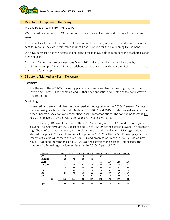

## $\triangleright$  Director of Equipment – Neil Stang

We equipped 34 teams from Fun1 to U19.

We ordered new jerseys for LTP, but, unfortunately, they arrived late and so they will be used next season.

Two sets of shot clocks at the Co-operators were malfunctioning in November and were removed and sent for repairs. They were reinstalled in rinks 1 and 2 in time for the Jim Benning tournament.

We have purchased a gym ringette kit and plan to make it available to members and teachers as soon as we have it.

Fun 1 and 2 equipment return was done March  $26<sup>th</sup>$  and all other divisions will be done by appointment on April 23 and 24. A spreadsheet has been shared with the Commissioners to provide to coaches for sign up.

## $\triangleright$  Director of Marketing – Darin Degenstein

#### Summary

The theme of the 2021/22 marketing plan and approach was to continue to grow, continue leveraging successful partnerships, and further develop tactics and strategies to enable growth and retention.

#### Marketing

A marketing strategy and plan was developed at the beginning of the 2020-21 season. Targets were set using available historical RRA data (1997-2007, and 2015 to today) as well as data from other ringette associations and competing youth sport associations. The concluding target is 120 registered players of U8 age with a 2% year-over-year growth target.

In recent years, RRA was at its peak for the 2016-17 season, with 503 U19-and-below registered players. The 2014 through 2016 seasons had 117 to 120 U9-age registered players. This created a high "bubble" of players now playing mostly in the U14 and U16 divisions. RRA registrations started dropping in 2017 and reached a low point in 2019-20 with only 55 U8-aged players. The impact of this dip will carry to the year 2030. Good progress was made in 2021-22, as we now have 87 U8-aged registrations, and 126 U9-aged registrations this season. This exceeds the number of U9-aged registrations achieved in the 2015-16 peak of 120.

| <b>Division</b>  | 2021-22 | 2020-21 | 2019-20 | 2018-19 | 2017-18 | 2016-17 | 2015-16 | 2014-15 |
|------------------|---------|---------|---------|---------|---------|---------|---------|---------|
| <b>LTP</b>       | 15      |         | 19      | 22      | 32      |         |         |         |
| <b>U8/FUN1-2</b> | 84      | 75      | 36      | 48      |         |         |         |         |
| U9/LTP           |         |         |         |         | 55      | 117     | 120     | 119     |
| <b>FUN3/U10</b>  | 69      | 68      | 71      | 59      | 87      | 83      | 77      | 61      |
| U12              | 72      | 88      | 95      | 103     | 94      | 82      | 82      | 89      |
| U14              | 70      | 90      | 76      | 70      | 73      | 62      | 69      | 78      |
| U16              | 88      | 78      | 68      | 66      | 55      | 92      | 67      | 67      |
| U19              | 65      | 56      | 67      | 81      | 96      | 67      | 82      | 68      |
| Total            | 463     | 455     | 432     | 449     | 492     | 503     | 497     | 482     |
| Open             | 162     | 90      | 163     | 155     | 169     | 173     | 163     | 172     |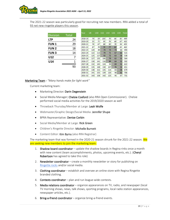The 2021-22 season was particularly good for recruiting net new members. RRA added a total of 93 net new ringette players this season.

| Division     | <b>Total</b> | Year    | U8  | U10 | U12 | U14 | U16 | U <sub>19</sub> | <b>Total</b> |
|--------------|--------------|---------|-----|-----|-----|-----|-----|-----------------|--------------|
| LTP          | 24           | 2018-19 | 70  | 59  | 103 | 70  | 66  | 81              | 449          |
|              |              | 2019-20 | 55  | 71  | 95  | 76  | 68  | 67              | 432          |
| <b>FUN1</b>  | 29           | 2020-21 | 76  | 67  | 88  | 90  | 78  | 56              | 455          |
| <b>FUN2</b>  | 18           | 2021-22 | 87  | 78  | 74  | 77  | 82  | 65              | 463          |
|              |              | 2022-23 | 120 | 89  | 74  | 73  | 73  | 66              | 494          |
| <b>FUN 3</b> | 14           | 2023-24 | 122 | 113 | 79  | 71  | 67  | 62              | 515          |
| U12          |              | 2024-25 | 125 | 127 | 92  | 72  | 63  | 58              | 538          |
|              |              | 2025-26 | 127 | 135 | 106 | 79  | 62  | 55              | 564          |
| U14          | 1            | 2026-27 | 130 | 141 | 116 | 89  | 64  | 52              | 592          |
|              |              | 2027-28 | 132 | 145 | 124 | 99  | 69  | 52              | 622          |
|              | 93           | 2028-29 | 135 | 148 | 130 | 107 | 76  | 54              | 651          |
|              |              | 2029-30 | 138 | 152 | 135 | 114 | 83  | 58              | 679          |
|              |              | 2030-31 | 141 | 155 | 139 | 120 | 90  | 62              | 706          |
|              |              | 2031-32 | 143 | 158 | 142 | 125 | 95  | 67              | 731          |

## Marketing Team - *"Many hands make for light work"*

Current marketing team:

- Marketing Director: Darin Degenstein
- Social Media Manager: Chelsie Coxford (also RRA Open Commissioner). Chelsie performed social media activities for the 2019/2020 season as well
- Throwback Thursday/Member at Large: Leah Wolfe
- Webmaster/Graphic Design/Social Media: Jennifer Shupe
- BPRA Representative: Denise Corbin
- Social Media/Member at Large: Rick Green
- Children's Ringette Director: Michelle Burnett
- Content Editor: Kim Byrns (also RRA Registrar)

The marketing team that was formed in the 2020-21 season shrunk for the 2021-22 season. We are seeking new members to join the marketing team:

- 1. Shadow board coordinator update the shadow boards in Regina rinks once a month with new content (team accomplishments, photos, upcoming events, etc.). (Cheryl Robertson has agreed to take this role)
- 2. Newsletter coordinator create a monthly newsletter or story for publishing on [Ringette.rocks](https://www.ringette.rocks/) and/or social media.
- 3. Clothing coordinator establish and oversee an online store with Regina Ringette branded clothing.
- 4. **Contests coordinator** plan and run league-wide contests.
- 5. Media relations coordinator organize appearances on TV, radio, and newspaper (local TV morning shows, news, talk shows, sporting programs, local radio station appearances, newspaper articles, etc.).
- 6. Bring-a-friend coordinator organize bring-a-friend events.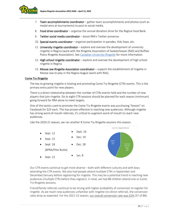

- 7. Team accomplishments coordinator gather team accomplishments and photos (such as medal wins at tournaments) to post to social media.
- 8. Food drive coordinator organize the annual donation drive for the Regina Food Bank.
- 9. Twitter social media coordinator boost RRA's Twitter presence.
- 10. Special events coordinator organize participation in parades, Kids Expo, etc.
- 11. University ringette coordinator explore and oversee the development of university ringette in Regina (work with the Ringette Association of Saskatchewan (RAS) and Buffalo Plains Ringette Association). See [Canadian University Ringette](https://www.canadianuniversityringette.ca/About_University_Ringette.php) for more information.
- 12. High school ringette coordinator explore and oversee the development of high school ringette in Regina.
- 13. Moose Jaw Ringette Association coordinator support the establishment of ringette in Moose Jaw to play in the Regina league (work with RAS).

## Come Try Ringette

The key to growing ringette is hosting and promoting Come Try Ringette (CTR) events. This is the primary entry point for new players.

There is a direct relationship between the number of CTRs events held and the number of new players that join ringette. Six to eight CTR sessions should be planned for each season (minimum) going forward for RRA alone to meet targets.

One of the tactics used to promote the Come Try Ringette events was purchasing "boosts" on Facebook for \$25 each. This has proven effective in reaching new audiences. Although ringette has strong word-of-mouth referrals, it's critical to augment word-of-mouth to reach new audiences.

Like the 2020-21 season, we ran another 8 Come Try Ringette sessions this season.



Our CTR events continue to get more diverse – both with different cultures and with boys attending the CTR events. We also had people attend multiple CTRs in September and December/January before registering for ringette. This may be a potential trend in reaching new audiences (multiple CTRs before they register). In total, we had 88 children attend one or Come Try Ringette sessions.

Friend/family referrals continue to be strong with higher probability of conversion to register for ringette. As we reach new audiences unfamiliar with ringette (no direct referral), the conversion rates drop as expected. For the 2021-22 season, our overall conversion rate was 42% (37 of 88).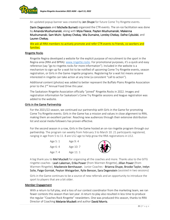

An updated popup banner was created by Jen Shupe for future Come Try Ringette events.

Darin Degenstein and Michelle Burnett organized the CTR events. The on-ice facilitation was done by Amanda Mushumanski, along with Myia Fleece, Payten Mushumanski, Makenna Mushumanski, Sam Muhr, Sydney Chekay, Mia Dumaine, Loreley Chekay, Dafne Cybulski, and Lauren Chekay.

We ask all RRA members to actively promote and refer CTR events to friends, co-workers and families.

## Ringette Rocks

Ringette Regina developed a website for the explicit purpose of recruitment to the sport in the Regina area (RRA and BPRA): [www.ringette.rocks](http://www.ringette.rocks/). For promotional purposes, it's a quick and easy reference (say "go to ringette.rocks for more information"). Included in the website is a mechanism to sign-up for a wait list to be notified of upcoming Come Try Ringette events, season registration, or Girls in the Game ringette programs. Registering for a wait list means anyone interested in ringette can take action at any time (a consistent "call to action").

Additional content (photos) was added to better represent the Buffalo Plains Ringette Association prior to the 2<sup>nd</sup> Annual Food Drive this year.

The Saskatoon Ringette Association officially "joined" Ringette.Rocks in 2022. Images and registration information for Saskatoon's Come Try Ringette sessions and league registration was added to the website.

## Girls in the Game Partnership

For the 2021/22 season, we continued our partnership with Girls in the Game for promoting Come Try Ringette events. Girls in the Game has a mission and values in close alignment to RRA, making them an excellent partner. Reaching new audiences through their extensive distribution list and social media followers has proven effective.

For the second season in a row, Girls in the Game hosted an on-ice ringette program through our partnership. The program ran weekly from February 3 to March 10. 21 participants registered, ranging in age from 5 to 11. 8 are U12 age to help grow the RRA registrations in U12.

| Age 5: 1 | Age 9:4   |   |
|----------|-----------|---|
| Age 6:4  | Age 10: 7 | 1 |
| Age 7:4  | Age 11: 1 |   |

A big thank you to Mel Muckelt for organizing all the coaches and more. Thanks also to the GITG ringette coaches - Leah Lakeman, Erika Power (from Warmen Ringette), Jillian Power (from Warmen Ringette), Mackenzie Bernhauser. Junior Coaches - Brianna Shupe, Brooke Taylor, Irelyn Solie, Paige Gorniak, Peyton Weisgarber, Rylie Benson, Sara Degenstein (assisted in two sessions)

Girls in the Game continues to be a source of new referrals and an opportunity to introduce the sport to players that are a bit older.

## Member Engagement

With a return to full play, and a loss of our contest coordinator from the marketing team, we ran fewer contests this season than last year. A return to play also resulted in less time to produce the regular "Coaches Rock Ringette" newsletters. One was produced this season, thanks to RRA Director of Coaching Melanie Muckelt and author David Morris.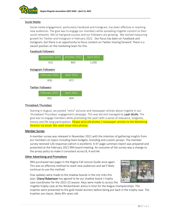

## Social Media

Social media engagement, particularly Facebook and Instagram, has been effective in reaching new audiences. The goal was to engage our members while spreading ringette-content to their social networks. We've had good success and our followers are growing. We started measuring growth for Twitter and Instagram in February 2022. Our focus has been on Facebook and Instagram, but there is an opportunity to focus content on Twitter moving forward. There is a vacant position on the marketing team for this.

## Facebook Followers

| September 2020             | October 2021 | April 2022 |
|----------------------------|--------------|------------|
| 632                        | 865          | 1,000      |
| <b>Instagram Followers</b> |              |            |
| February 2022              | April 2022   |            |
| 836                        | 871          |            |
| <b>Twitter Followers</b>   |              |            |
| February 2022              | April 2022   |            |
| 402                        | 404          |            |

## Throwback Thursdays

Starting in August, we posted "retro" pictures and newspaper articles about ringette in our 'throwback Thursdays' engagement campaign. This was led and managed by Leah Wolfe. The goal was to engage members while promoting the sport with a sense of relevance, longevity, history and life-long participation. Please send old photos / newspaper articles to the Marketing Director via email. We need more retro photos.

## Member Survey

A member survey was released in November 2021 with the intention of gathering insights from our members on topics including team budgets, branding and custom jerseys. The member survey received 126 responses (which is excellent). A 47-page summary report was prepared and presented at the February 2021 RRA board meeting. An outcome of the survey was a change to the jersey policy to make it consistent across B, A and AA.

## Other Advertising and Promotions

RRA purchased two pages in the Regina Fall Leisure Guide once again. This was an effective method to reach new audiences and we'll likely continue to use this method.

Few updates were made to the shadow boards in the city rinks this year. Cheryl Robertson has agreed to be our shadow board / trophy case coordinator for the 2022-23 season. Keys were made to access the



ringette trophy case at the Wickenheiser arena in time for the league championships. The trophies were presented to the gold medal winners before being put back in the trophy case. The trophies are classic, likely 40+ years old.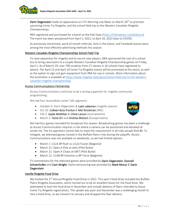

Darin Degenstein made an appearance on CTV Morning Live News on March 28<sup>th</sup> to promote upcoming Come Try Ringette, and the school field trip to the Western Canadian Ringette Championships.

RRA registered and purchased for a booth at the Kids Expo [\(https://thekidexpo.ca/exhibitors\)](https://thekidexpo.ca/exhibitors). The event has been postponed from April 2, 2022, to April 16, 2023 (due to COVID).

As previously mentioned, word-of-mouth referrals, Girls in the Game, and Facebook boosts were among the most effective advertising methods this season.

## Western Canadian Ringette Championships School Field Trip

To raise awareness for ringette and to recruit new players, RRA sponsored the cost of a school bus to bring classrooms to a couple Western Canadian Ringette Championship games on Friday, April 1. As of March 29, over 700 students from 27 classes in 10 schools have registered to attend. The April 23 and April 24 Come Try Ringette events will be promoted at this event, as well as the option to sign-out gym equipment from RRA for use in schools. More information about the promotion is available a[t https://www.ringette.rocks/post/school-field-trip-to-the-western](https://www.ringette.rocks/post/school-field-trip-to-the-western-canadian-ringette-championships)[canadian-ringette-championships](https://www.ringette.rocks/post/school-field-trip-to-the-western-canadian-ringette-championships)

## Access Communications Partnership

Access Communications continues to be a strong supporter for ringette community programming.

We had four AccessNow Locker Talk segments:

- October 6: Darin Degenstein & Leah Lakeman (ringette season)
- Oct 26: Colleen Butz-Purdue & Mel Brockman (NRL) • Feb 3: Jayda McMillan & Chloe Larson (tournaments)



• March 2: Tania Orr and Andrea Weston (Europe teams)

We had four games recorded for broadcast this season. Broadcasting games has been a challenge as Access Communication requires a rink where a camera can be positioned and elevated at center ice. The Co-operators Centre fails to meet this requirement in all rinks except Rink #6. To mitigate, we televised games hosted in the Buffalo Plains rinks during the playoffs. Access Communications was not available on weekends, so we had limited options.

- March 1: U12A BP Rush vs U12A Fusion (Balgonie)
- March 21: Open A Elite at Jetts (Pilot Butte)
- March 21: Open A Chaos at GRIT (Pilot Butte)
- March 22: U14B BP Extreme vs BP Force (Balgonie)

TV commentary for the televised games were provided by Darin Degenstein, Donnell Schoenhofen and Cam Wright. Game announcing was provided by Mark Moroz & Darin Degenstein

## Iceville Ringette Food Drive

We hosted the 2<sup>nd</sup> Annual Ringette Food Drive in 2022. This year's food drive included the Buffalo Plains Ringette Association, which turned out to be an excellent boost for the food drive. We attempted to host the food drive in December and include delivery of flyers intended to boost Come Try Ringette registrations. The uptake was poor and December was a challenging month to host a food drive, so we moved it to January and dropped the flyer delivery.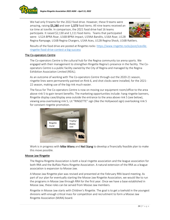

We had only 9 teams for the 2022 food drive. However, these 9 teams were amazing, raising \$5,280 and over 1,573 food items. All nine teams received an ice time at Iceville. In comparison, the 2021 food drive had 16 teams participate. It raised \$2,130 and 1,111 food items. Teams that participated were: U12A BPRA Roar, U16B BPRA Impact, U19AA Bandits, U16A Roar, U12B



Regina Rampage, U16B Regina Chargers, U14A Aces, U12B Regina Shock, U16B Rattlers.

Results of the food drive are posted at Ringette.rocks: [https://www.ringette.rocks/post/iceville](https://www.ringette.rocks/post/iceville-ringette-food-drive-contest-a-big-success)[ringette-food-drive-contest-a-big-success](https://www.ringette.rocks/post/iceville-ringette-food-drive-contest-a-big-success)

## The Co-operators Centre

The Co-operators Centre is the cultural hub for the Regina community ice arena sports. We engaged with their management to strengthen Ringette Regina's presence in the facility. The Cooperators Centre is a public facility owned by the City of Regina and managed by the Regina Exhibition Association Limited (REAL).

As an outcome of working with The Co-operators Centre through-out the 2020-21 season, ringette lines were permanently painted on Rink 6, and shot clocks were installed, for the 2021- 22 season, making use of the big rink much easier.

The focus for The Co-operators Centre is now on moving our equipment room/office to the area above rink 5 to gain tenant benefits. The marketing opportunities include: hang ringette banners, Ringette display case/display area outside the entrance to the area above rink 5 (see below), viewing area overlooking rink 5, Lit "RINGETTE" sign (like the Hollywood sign) overlooking rink 5 for constant ringette promotion.



Work is in progress with Mike Wiens and Neil Stang to develop a financially feasible plan to make this move possible.

## Moose Jaw Ringette

The Regina Ringette Association is both a local ringette association and the league association for both RRA and the Buffalo Plains Ringette Association. A natural extension of the RRA as a league association is expansion to Moose Jaw.

A Moose Jaw Ringette plan was revised and presented at the February RRA board meeting. As part of our plan for eventually starting the Moose Jaw Ringette Association, we would like to run the programs in Moose Jaw through RRA for the first year. Once we have a base established in Moose Jaw, these roles can be served from Moose Jaw members.

Ringette in Moose Jaw starts with Children's Ringette. The goal is to get a toehold in the youngest divisions with enough critical mass for competition and recruitment to form a Moose Jaw Ringette Association (MJRA) board.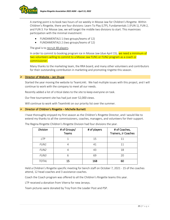A starting point is to book two hours of ice weekly in Moose Jaw for Children's Ringette. Within Children's Ringette, there are four divisions: Learn To Play (LTP), Fundamentals 1 (FUN 1), FUN 2, and FUN 3. For Moose Jaw, we will target the middle two divisions to start. This maximizes participation with the minimal investment:

- FUNDAMENTALS 1 (two groups/teams of 12)
- FUNDAMENTALS 2 (two groups/teams of 12)

The goal is to recruit 48 players.

In order to commit to booking program ice in Moose Jaw (due April 15), we need a minimum of two volunteers willing to commit to a Moose Jaw FUN1 or FUN2 program as a coach or commissioner.

Many thanks to the marketing team, the RRA board, and many other volunteers and contributors for their outstanding contribution in marketing and promoting ringette this season.

## $\triangleright$  Director of Website – Jen Shupe

Started the year moving the website to TeamLinkt. We had multiple issues with this project, and I will continue to work with the company to meet all our needs.

Recently added a list of critical dates to the site to keep everyone on task.

Our free tournament site has had just over 52,000 views.

Will continue to work with Teamlinkt on our priority list over the summer.

## $\triangleright$  Director of Children's Ringette – Michelle Burnett

I have thoroughly enjoyed my first season as the Children's Ringette Director, and I would like to extend my thanks to all the commissioners, coaches, managers, and volunteers for their support.

| <b>Division</b>  | # of Groups/<br>Teams | # of players | # of Coaches,<br>Trainers, Jr Coaches |
|------------------|-----------------------|--------------|---------------------------------------|
| <b>LTP</b>       |                       | 15           | 11                                    |
| FUN1             |                       | 41           | 11                                    |
| FUN <sub>2</sub> |                       | 43           | 18                                    |
| FUN <sub>3</sub> | 6                     | 69           | 20                                    |
| <b>TOTAL</b>     | 15                    | 168          | 60                                    |

The Regina Ringette Children's Ringette Division had four divisions the year.

Held a Children's Ringette specific meeting for bench staff on October 7, 2021 - 15 of the coaches attend, 12 head coaches and 3 assistance coaches.

Coach the Coach program was offered to all the Children's Ringette teams this year.

LTP received a donation from Viterra for new Jerseys.

Team pictures were donated by Troy from the Leader Post and PSP.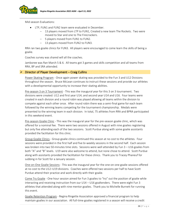

Mid-season Evaluations:

- LTP, FUN1 and FUN2 team were evaluated in December.
	- − 13 players moved from LTP to FUN1, Created a new team The Rockets. Two were moved to Star and one to The Firecrackers.
	- − 5 players moved from FUN1 to FUN2.
	- 13 players moved from FUN2 to FUN3.

RRA ran two goalie clinics for FUN3. All players were encouraged to come learn the skills of being a goalie.

Coaches survey was shared will all the coaches.

Jamboree was Ran March 5 & 6. All teams got 3 games and skills competition and all teams from RRA, BP and SRA attended.

## $\triangleright$  Director of Player Development – Craig Cullins

Power Skating Program - Once again power skating was provided to the Fun 3 and U12 Divisions throughout the season. Bruce McLean continues to instruct these sessions and provide our athletes with a developmental opportunity to increase their skating abilities.

Pre-season 3 on 3 Tournament - This was the inaugural year for this 3 on 3 tournament. Two divisions were created: U12 and first year U14; and second year U14 and U16. Four teams were created in each division and a round robin was played allowing all teams within the division to compete against each other once. After round robin there was a semi-final game for each team followed by the winning teams competing for the tournament championship. Medals were presented to the winning team in each division. In total, 75 athletes from RRA and BPRA participated in this weekend event.

Pre-season Goalie Clinic - This was the inaugural year for the pre-season goalie clinic, which was offered for a nominal fee. There were two sessions offered in August with nine goalies registering but only five attending each of the two sessions. Scott Purdue along with some goalie assistants provided the facilitation for this clinic.

Group Goalie Clinics - Group goalie clinics continued this season at no cost to the athletes. Four sessions were provided in the first half and five bi-weekly sessions in the second half. Each session was broken into two 50-minutes time slots. Sessions were well attended by Fun 3 – U16 goalies from both "A" and "B" levels. U19 were also welcome to attend, but none chose to attend. Scott Purdue along with assistants provided the facilitation for these clinics. Thank you to Tracey Phaneuf for subbing in for Scott for a January session.

One-on-One Goalie Sessions - This was the inaugural year for the one-on-one goalie sessions offered at no cost to the U12–U19 divisions. Coaches were offered two sessions per half to have Scott Purdue attend their practice and work directly with their goalie.

Come Try Goalie - One hour session aimed for Fun 3 goalies to "try" out the position of goalie while interacting and receiving instruction from our U14 – U16 goaltenders. There were eight Fun 3 athletes that attended along with nine mentor goalies. Thank you to Michelle Burnett for running this event.

Goalie Retention Program - Regina Ringette Association approved a financial program to help maintain goalies in our association. All full-time goalies registered in a season will receive a credit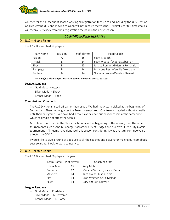

voucher for the subsequent season waiving all registration fees up to and including the U19 Division. Goalies leaving U19 and moving to Open will not receive the voucher. All first-year full-time goalies will receive 50% back from their registration fee paid in their first season.

## *COMMISSIONER REPORTS*

The U12 Division had 72 players

 $\triangleright$  U12 – Nicole Fisher

| Team Name | Division | # of players | Head Coach                       |
|-----------|----------|--------------|----------------------------------|
| Fusion    |          | 15           | Scott McBeth                     |
| Attack    |          | 14           | Scott Weaver/Shauna Sebastian    |
| Shock     |          | 15           | Jessica Romanski/Hanna Romanski  |
| Rampage   |          | 14           | Jen Hone Best / Camille Okestrum |
| Raptors   |          | 14           | Graham Lauten/Quinten Stewart    |

*Note: Buffalo Plains Ringette Association had 3 teams in the U12 division* 

## League Standings:

- − Gold Medal Attack
- − Silver Medal Shock
- − Bronze Medal Rage

## Commissioner Comments:

The U12 Division started off earlier than usual. We had the A team picked at the beginning of September. Then not long after the Teams were picked. One team struggled without a goalie until their first game. We have had a few players leave but new ones join at the same time which really did not affect the teams.

Most teams took part in the Shock invitational at the beginning of the season, then the other tournaments such as the BP Charge, Saskatoon City of Bridges and our own Queen City Classic tournament. All teams have done well this season considering it was a return from two years affected by COVID.

I would like to give a round of applause to all the coaches and players for making our comeback year so great. I look forward to next year.

## $\triangleright$  U14 – Nicole Fisher

The U14 Division had 69 players this year.

| Team Name   | # of players | Coaching Staff                |
|-------------|--------------|-------------------------------|
| U14 A Aces  | 15           | Kelly Muhr                    |
| Predators   | 12           | Marshal Verhalst, Karen Meban |
| Mayhem      | 14           | Tara Kraine, Justin Lenic     |
| <b>Riot</b> | 14           | Brad Wegner, Carla Mcleod     |
| Reign       | 14           | Cory and Jen Rainville        |

## League Standings:

- − Gold Medal Predators
- − Silver Medal BP Extreme
- − Bronze Medal BP Force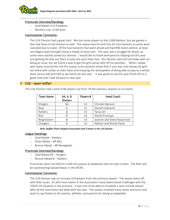

## Provincials Overview/Standings:

- − Gold Medal U14 Predators
- − Western cup- U14A Aces

## Commissioner Comments:

The U14 Division had a great start. We lost some players to the U16B Rattlers, but we gained a few new faces to the division as well. The season was hit and miss for tournaments as some were canceled due to covid. Of the tournaments that went ahead and had RRA teams attend, at least one Regina team brought home a medal of some sort. This year was a struggle for teams, as some new coaches joined our division. I would like to thank everyone for helping out this year and getting the kids out there to play the sport they love. Our division had a lot of breaks with ice being an issue, but we found a way to get the girls active with off ice activities. When I spoke with teams around the rink this season a lot certainly noted that it sure was nice seeing the girls out there with smiles on their faces and enjoying the atmosphere of being able to play as a whole team versus half and half as we had to do last year. It was great to see this year finish off on a good note and I look forward to next year.

## $\triangleright$  U16 – Jason Hoffart

The U16 Division had a total of 86 players (up from 78 the previous season) on six teams.

| <b>Team Name</b> | AA, A, B        | Players # | <b>Head Coach</b>           |
|------------------|-----------------|-----------|-----------------------------|
|                  | <b>Division</b> |           |                             |
| Stingers         | AA              | 14        | Christen Benson             |
| Roar             | А               | 17        | Darrell Liebrecht           |
| Rattlers         | B               | 15        | Tania Orr                   |
| Riot             | R               | 13        | Nicole Prystupa             |
| Ringmasters      | R               | 14        | Jeanine and Steve Nazarchuk |
| Chargers         | R               | 13        | Nathan and Brandi Klyne     |

#### *Note: Buffalo Plains Ringette Association had 3 teams in the U16 division*

## League Standings:

- − Gold Medal Rattlers
- − Silver Medal BP Blitz
- − Bronze Medal BP Renegades

## Provincials Overview/Standings:

- − Gold Medal AA Stingers
- − Bronze Medal B Rattlers

Provincials were not held for U16A this season as Saskatoon did not have a team. The Roar will be representing Saskatchewan in the WCRC

## Commissioner Comments:

The U16 division saw an increase of 8 players from the previous season. The season went off with little issues. As with most teams in the association many teams faced challenges with the COVID-19 situation in the province. It was nice to be able to complete a semi-normal season after all the restrictions we dealt with last year. The season involved many twists and turns and want to say thanks to all coaches, athletes, and parents for being so adaptable.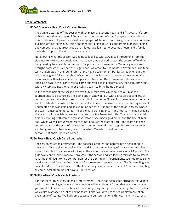

## Team Comments:

## U16AA Stingers – Head Coach Christen Benson

The Stingers started off the season with 14 players; 8 second years and 6 first years (it's rare to have more than a couple of first years on a AA team). We had 2 players playing a brandnew position and 1 player who had never played AA before...but through many hours of team building, off ice training, nutrition and mental training, bus trips, fundraising, on ice training and competition, this great group of athletes have learned to become a team and a family dedicated to put in the work to be successful.

Not knowing what the season was going to look like with COVID still threatening from the sidelines to take away a possible normal season, we decided to start the season off with a bang heading to an exhibition series in Calgary and a tournament in Winnipeg where we brought home gold. We had the Regina and Saskatoon tournaments in November. The team went undefeated in the round robin of the Regina tournament but lost a tough one in the gold medal game falling just short of victory. In the Saskatoon tournament we ended the round robin with a 4-way tie for first place but based on the tournament rules we were knocked down to the Bronze medal game but with a solid performance, the team came out with a victory against the number 1 Calgary team to bring home a medal.

In the second half of the season, we saw COVID take over which caused our planned tournaments to be cancelled (including one in Ottawa). But with a great group and lots of connections we were able to set up an exhibition series in Alberta in January where the team went undefeated, a last-minute tournament at home in February where the team again went undefeated and won gold and an exhibition series in Brandon at the end of February where the team remained undefeated. All of the hard work in January and February helped prepare the team for Provincials where we competed for the Team Sask title. The team had a solid first day winning both games against Saskatoon, securing a gold medal and the title of Team Sask which we will proudly represent at Nationals at the start of April. The team has been committed since the start of the season to put in the work, grow together to be successful and has gone on to beat every team in Western Canada throughout the season. Nationals...here we come!

## U16A Roar – Head Coach Darrell Liebrecht

The season has gone pretty good. The coaches, athletes and parents have been good to work with. Won a silver medal in Sherwood Park at the beginning of the season. We also played 4 exhibition games in Winnipeg at the end of the year where we won all 4 games. The girls have continued to improve throughout the season and are looking forward to Westerns. It has been difficult to find competition for the U16A team. Tournaments seemed to be same weekends and difficult to find. We had 2 tournaments cancelled on us. The Golden Ring was cancelled due to Covid concerns. The Jim Benning was cancelled due no U16A teams wanting to come. Saskatoon did not have a U16A division.

## U16B Riot – Head Coach Nicole Prystupa

For our team I think it has been an improvement. There has been some struggles this year as well. I think the biggest one and I'm sure you will hear about it from other teams or maybe you won't but is practice ice times. I think not getting enough ice and enough full ice practice was a disadvantage to a lot of Regina teams I also would've like to see us play more of an even range of teams. We had some success in our tournaments this year and my goal as a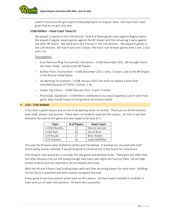

coach is to ensure the girls want to keep playing for as long as I have. I do hope that I have given that to my girls this year.

## U16B Rattlers – Head Coach Tania Orr

We played 11 games in the U16 division. Only 4 of those games were against Regina teams. We played 4 regular season games against the BP Impact and the remaining 3 were against the other BP teams. We had 8 wins and 3 losses in the U16 division. We played 6 games in the U19 division. We had 4 wins and 2 losses. We had 3 non-division games with 1 win, 1 loss and 1 tie.

## Tournaments:

- − Esso Platinum Ring Tournament, Edmonton U16B November 2021. We brought home the silver medal. Losing to the BP Impact.
- Buffalo Plains Tournament U16B December 2021 2 wins, 3 losses. Lost to the BP Impact in the Bronze medal Game.
- − Jim Benning Tournament U19B January 2022 Late entry to replace a team that cancelled because of COVID. 3 losses, 1 tie
- − Queen City Classic U16B February 2022. 2 wins, 3 losses
- − Provincials, Saskatoon U16B Went undefeated in our pool (3 games). Lost in semi-final game. Beat the BP Impact to bring home the bronze medal.

## $\triangleright$  U19 – Trish McBeth

It has been a great season and so nice to be getting closer to normal. Thank you to all the coaches, team staff, players and parents. There were no incidents reported this season. So nice to see that everyone focused on the game and was happy to be back at it.

| Team          | # of Players | <b>Head Coach</b> |
|---------------|--------------|-------------------|
| U19AA Bandits | 17           | Marcel Garnier    |
| U19A Ript     | 16           | Sheryl Bird       |
| U19 Royals    | 17           | Blain Walter      |
| U19 Outlaws   | 16           | Jayda McMillan    |

This year the B teams were drafted by ability and friendships. It worked out very well with both teams being evenly matched. It would be great to continue this in the future for retainment.

One thing to note would be to consider the late game and practice times. These girls are older than the other divisions but are still young enough that many late nights are hard on them. All are high school students and are required to do homework and study.

Both the AA and A teams had building years with very few returning players for each team. Building for the future is essential and both coaches accepted that task.

It was great to see tournament action back on this season. All teams were involved in multiple intown and out-of-town tournaments. All were very successful.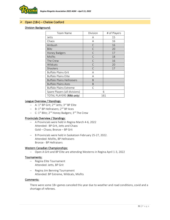

## ➢ Open (18+) – Chelsie Coxford

## Division Background:

| Team Name                         | Division     | # of Players |
|-----------------------------------|--------------|--------------|
| Jetts                             | Α            | 15           |
| Chaos                             | A            | 16           |
| Ambush                            | C            | 16           |
| Blitz                             | C            | 20           |
| Honey Badgers                     | C            | 17           |
| Misfits                           | $\mathsf{C}$ | 18           |
| The Crew                          | $\subset$    | 16           |
| Wildcats                          | C            | 20           |
| Shooters                          | $\subset$    | 17           |
| <b>Buffalo Plains Grit</b>        | A            |              |
| <b>Buffalo Plains Elite</b>       | A            |              |
| <b>Buffalo Plains Hellraisers</b> | B            |              |
| <b>Buffalo Plains Aces</b>        | B            |              |
| <b>Buffalo Plains Extreme</b>     | C            |              |
| Spare Players (all divisions)     | 6            |              |
| TOTAL PLAYERS (RRA only)          | 161          |              |

## League Overview / Standings:

- − A: 1<sup>st</sup> BP Grit; 2<sup>nd</sup> Jetts; 3<sup>rd</sup> BP Elite
- − B: 1st BP Hellraisers; 2 nd BP Aces
- − C: 1<sup>st</sup> Blitz; 2<sup>nd</sup> Honey Badgers; 3<sup>rd</sup> The Crew

## Provincials Overview / Standings:

- − A Provincials were held in Regina March 4-6, 2022 Attended: BP Grit, Jetts and Chaos Gold – Chaos; Bronze – BP Grit
- − B Provincials were held in Saskatoon February 25-27, 2022. Attended: Misfits, BP Hellraisers Bronze - BP Hellraisers

## Western Canadian Championships:

− Open A Grit and BP Elite are attending Westerns in Regina April 1-3, 2022

## Tournaments:

- − Regina Elite Tournament Attended: Jetts, BP Grit
- − Regina Jim Benning Tournament Attended: BP Extreme, Wildcats, Misfits

## Comments:

There were some 18+ games canceled this year due to weather and road conditions, covid and a shortage of referees.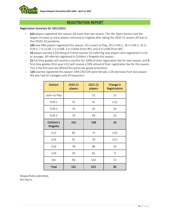

# *REGISTRATION REPORT*

## Registration Summary for 2021/2022:

- − 625 players registered this season; 83 more than last season. The 18+ Open division had the largest increase as many players returned to ringette after taking the 2020-21 season off due to the COVID-19 pandemic.
- − 100 new RRA players registered this season: 24 in Learn to Play, 29 in FUN 1, 18 in FUN 2, 14 in FUN 3, 7 in U12B, 1 in U14B, 3 in U16AA (from BP), and 4 in U19B (from BP).
- − 33 players earned a \$50 Bring-A-Friend voucher for referring new players who registered in U14 or younger. All referrals registered in Children's Ringette this season.
- − 22 full-time goalies will receive a voucher for 100% of their registration fee for next season, and 3 first-time goalies (first-year U12) will receive a 50% refund of their registration fee for this season. This is the first year we offered this particular goalie promotion.
- − 129 coaches registered this season: 54% (70/129) were female, a 2% decrease from last season. We also had 32 managers and 29 treasurers.

| <b>Division</b>        | 2020-21<br>players | 2021-22<br>players | Change in<br><b>Registrations</b> |
|------------------------|--------------------|--------------------|-----------------------------------|
| Learn to Play          |                    | 15                 | 15                                |
| FUN <sub>1</sub>       | 53                 | 41                 | (12)                              |
| FUN <sub>2</sub>       | 19                 | 43                 | 24                                |
| FUN <sub>3</sub>       | 70                 | 69                 | (1)                               |
| Children's<br>Ringette | 142                | 168                | 26                                |
| U12                    | 85                 | 72                 | (13)                              |
| U14                    | 91                 | 70                 | (21)                              |
| U16                    | 78                 | 88                 | 10                                |
| U19                    | 56                 | 65                 | 9                                 |
| $18 +$                 | 90                 | 162                | 72                                |
| Total                  | 542                | 625                | 83                                |

Respectfully submitted, Kim Byrns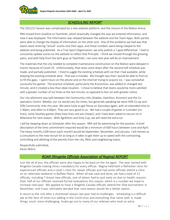

# *SCHEDULING REPORT*

The 2021/22 Season was complicated by a new website platform, and the closure of the Mahon Arena.

RRA moved from Goalline to Teamlinkt, which drastically changed the way we entered information, and how it was displayed. The information was relayed between the website and the Team Apps. Both parties were able to change the display of information on the other end. One of the problems we had was that teams were entering "actual" scores into their apps, and those numbers were being relayed to the website and being published. As a True Sport Organization, we only publish a 7-goal differential. I had to constantly update scores on the website to reflect that Principle. I think we moved through the growing pains, and with help from the tech guys at Teamlinkt, I am sure next year will be an improvement.

The materials that the city needed to complete maintenance construction on the Mahon were delayed in transit, because of Covid-19. Unfortunately, that news came down after the second half schedule was made, and partially published. I tried to juggle the existing schedule with ice that I had available, while keeping the existing schedule alive. That was a mistake. My thought was that I would be able to find ice to fill the gaps. I spent hours on the phone and on the internet trying to acquire ice. I was somewhat successful for games. The practice schedule, particularly the B practices, was added or changed last minute, and it created a less than ideal situation. I chose to believe that teams would be more satisfied with a greater number of ice times at the last minute, as opposed to less ice with greater notice.

Our city allotment was split between the Community rinks (Staples, Hamilton, Kinsmen) and the Cooperators Centre. Weekly, our ice would vary for times, but generally speaking we were 50% Co-op and 50% Community rinks this year. We were lucky to get Pense on Saturdays again, with an extended time to 2:30pm, and often to 4:00pm. They are very good to us. We had a couple of games in Lumsden (no lines), some Southey games (they have lines and are cheap!), and I have been asked to secure ice in Milestone for next season. With Agribition and Grey Cup, we will need the extra ice.

I will be stepping down as Scheduler after this season. RRA will be advertising for the position. A brief description of the time commitment required would be a minimum of 600 hours between June and April. The heavy months (100 hours each month) would be September, November, and January. I will remain as a consultant to the new recruit for as long as it takes to get them up to speed with the contracting, controlling and allotting of the permits from the city, REAL and neighboring towns.

Respectfully submitted, Karen Wiens

# *ROAR (Ringette Officials Association of Regina) REPORT*

Just like all of you, the officials were also happy to be back on the ice again. The year started with Ringette Canada making clinics mandatory for every official. Regina held both a Refresher clinic for experienced officials and a Level 1 clinic for newer officials and had some officials attend a clinic on an alternate weekend in Buffalo Plains. When all was said and done, we had a total of 22 officials, including 7 brand new officials, one of whom had to quit early on due to health reasons. Over half of our officials received formal evaluations this season, which is a number we hope to increase next year. We applied to have a Ringette Canada officials attend the Elite tournament in November, and it was ultimately decided that next season would be a better option.

A return to the rink after a shortened season last year had its challenges. Scheduling is a difficult job at the best of times but adding in the Covid virus and everything that came with it, made things much more challenging. Kudos go out to many of our referees who took on extra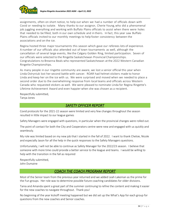

assignments, often on short notice, to help out when we had a number of officials down with Covid or needing to isolate. Many thanks to our assignor, Cherie Young,who did a phenomenal job juggling everything and working with Buffalo Plains officials to assist when there were holes that needed to be filled, both in our own schedule and in theirs. In fact, this year saw Buffalo Plains officials invited to our monthly meetings to help foster consistency between the associations and on the ice.

Regina hosted three major tournaments this season which gave our referees lots of experience. A number of our officials also attended out of town tournaments as well, although the cancellation of several large events, like the Calgary Golden Ring, limited participation. Seven of our officials were selected to the Ringette Saskatchewan Provincial Championships. Congratulations to Breanna Beals who represented Saskatchewan atthe 2022 Western Canadian Ringette Championships.

As many people in our ringette community are aware, we lost a senior official this year when Linda Ostryniuk lost her second battle with cancer. ROAR had helmet stickers made to honor Linda and keep her on the ice with us. We were surprised and moved when we needed to place a second order due to the overwhelming response from local teams and officials across Western Canada who requested stickers as well. We were pleased to nominate Linda for Regina Ringette's Lifetime Achievement Award and even happier when she was chosen as a recipient.

Respectfully submitted, Tanya Jones

## *SAFETY OFFICER REPORT*

Covid protocols for the 2021-22 season were limited and very few changes throughout the season resulted in little impact to our league games

Safety Managers were engaged with questions, in particular when the provincial changes were rolled out.

The point of contact for both the City and Cooperators centre were new and engaged with us quickly and seamlessly.

My role was limited based on my new job that I started in the fall of 2022. I want to thank Chelsie, Nicole and especially Jason for all the help in the quick responses to the Safety Managers questions.

Unfortunately, I will not be able to continue as Safety Manager for the 2022/23 season. I believe that someone with more time could provide a better service to the league and teams. I would be willing to help with the transition in the fall as required

Respectfully submitted, John Dumaine

## *COACH THE COACH PROGRAM REPORT*

Most of the Senior team from the previous year returned and we added Leah Lakeman as the prime for the Fun groups. Her role was to determine possible future coaching candidates for older divisions.

Tania and Amanda spent a great part of the summer continuing to refine the content and making it easier for the new coaches to navigate throughout. Thank you!

No beginning of the year kickoff meeting happened but we did set up the What's App for each group for questions from the new coaches and Senior coaches.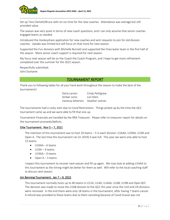

Set up Tara Clemett/Bruce with on-ice time for the new coaches. Attendance was average but still provided value.

The season was very quiet in terms of new coach questions, and I can only assume that senior coaches engaged teams as needed.

Introduced the Hockeyshare application for new coaches and sent requests to join for old division coaches. Uptake was limited but will focus on that more for next season.

Supported the Fun divisions with Michelle Burnett and supported the Firecracker team in the first half of the season. More senior coach support is required for next season.

My focus next season will be on the Coach the Coach Program, and I hope to get more refinement completed over the summer for the 2022 season.

Respectfully submitted, John Dumaine

## *TOURNAMENT REPORT*

Thank you to following ladies for all your hard work throughout the season to make the best of the tournaments!

> Darla Larson Cindy Pettigrew Amber Lenic Lori Klein Vanessa Atherton Heather Leitner

The tournaments had a rocky start due to Covid Restrictions. Things picked up by the time the QCC tournament came up and we were able to fill that one up.

Tournament Financials are handled by the RRA Treasurer. Please refer to treasurer report for details on the tournament proceeds/deficits.

## Elite Tournament: Nov  $5 - 7$ , 2021

The intention of this tournament was to host 20 teams – 5 in each division: U16AA, U19AA, U19A and Open A. The last time this tournament ran (in 2019) it was full. This year we were only able to host 13 teams.

- $\bullet$  U16AA 6 teams
- $U19A 4$  teams
- $\bullet$  U19AA 0 teams
- $\bullet$  Open A 3 teams

I expect this tournament to recover next season and fill up again. We may look at adding U14AA to this tournament as the timing might be better for them as well. Will refer to the local coaching staff to discuss next season.

## Jim Benning Tournament: Jan 7 – 9, 2022

This tournament normally hosts up to 40 teams in U12A, U14A, U14AA, U16B, U19B and Open B/C. The decision was made to move the U16B division to the QCC this year since the U10 and U9 divisions were removed. In the end there were only 18 teams in the tournament, after having 7 teams cancel. A refund was provided to these teams due to them canceling because of Covid (travel was not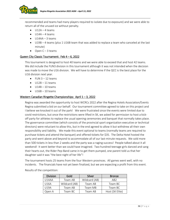

recommended and teams had many players required to isolate due to exposure) and we were able to return all of the unused ice without penalty.

- $\bullet$  U12A 4 teams
- $\bullet$  U14A 4 teams
- $\bullet$  U14AA 3 teams
- U19B 4 teams (plus 1 U16B team that was added to replace a team who canceled at the last minute)
- $\bullet$  Open C 3 teams

## Queen City Classic Tournament: Feb 4 – 6, 2022

This tournament is designed to host 40 teams and we were able to exceed that and host 42 teams. We did include the FUN3 division in this tournament although it was not intended when the decision was made to move the U16 division. We will have to determine if the QCC is the best place for the U16 division next year.

- $\bullet$  FUN 3 12 teams
- $\bullet$  U12B 11 teams
- $\bullet$  U14B 10 teams
- U16B 10 teams

## Western Canadian Ringette Championships: April 1 – 3, 2022

Regina was awarded the opportunity to host WCRCs 2022 after the Regina Hotels Association/Events Regina submitted a bid on our behalf. Our tournament committee agreed to take on this project and I believe we knocked it out of the park! We were frustrated since the events were limited due to covid restrictions, but once the restrictions were lifted in SK, we asked for permission to host a kickoff party for athletes to replace the usual opening ceremonies and banquet that normally takes place. The governance committee (which consists of the provincial sport organization executive or technical directors) were reluctant to allow this, but in the end agreed to allow it but withdrew all their own responsibility and liability. We made this event optional to teams (normally teams are required to purchase tickets and attend the banquet) and offered tickets for \$35. The Delta Hotel hosted the party and went above and beyond to accommodate all of our last-minute requests. We sold more than 500 tickets in less than 2 weeks and the party was a raging success! People talked about it all weekend! It went better than we could have imagined. Two hundred teenage girls danced and sang their hearts out, the Rider Pep-Band came in to get them pumped, one parent told us that her daughter said it was "the best night of her life"!

The tournament hosts 25 teams from the four Western provinces. All games went well, with no incidents. The financials have not yet been finalized, but we are expecting a profit from this event.

| <b>Division</b> | Gold          | Silver        | <b>Bronze</b>   |
|-----------------|---------------|---------------|-----------------|
| <b>U14AA</b>    | Team AB       | Wildcard (AB) | AB <sub>2</sub> |
| U16A            | Wildcard (AB) | Team AB       | Team BC         |
| U19A            | Team AB       | Team MB       | Team BC         |
| Open A          | Team BC       | Team AB       | Host (SK Elite) |

Results of the competition: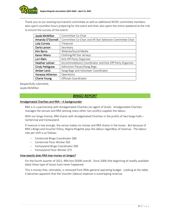

Thank you to our existing tournament committee as well as additional WCRC committee members who spent countless hours preparing for the event and then also spent the entire weekend at the rink to ensure the success of the event!

| Jayda McMillan         | Committee Co-Chair                                        |
|------------------------|-----------------------------------------------------------|
| Amanda O'Donnell       | Committee Co-Chair and All Star Selection Committee Chair |
| Lola Correia           | Treasurer                                                 |
| Darla Larson           | Secretary                                                 |
| Kim Byrns              | Website/Social Media                                      |
| <b>Karen Wiens</b>     | Clothing/All Star Jerseys                                 |
| Lori Klein             | Kick Off Party Organizer                                  |
| <b>Heather Leitner</b> | Accommodations Coordinator and Kick-Off Party Organizer   |
| <b>Cindy Pettigrew</b> | Admission Passes/Swag Bags                                |
| Amber Lenic            | Swag Bags and Volunteer Coordinator                       |
| Vanessa Atherton       | Operations                                                |
| <b>Cherie Young</b>    | Officials Coordinator                                     |

Respectfully submitted,

Jayda McMillan

## *BINGO REPORT*

## Amalgamated Charities and RRA – A backgrounder

RRA is in a partnership with Amalgamated Charities (an agent of SLGA). Amalgamated Charities manages the venues and RRA (among many other non-profits) supplies the labour.

With our bingo license, RRA shares with Amalgamated Charities in the profits of two bingo halls – Centennial and Fantasyland.

If revenue is low enough, the venue makes no money and RRA shares in the losses. But because of RRA's Bingo and Voucher Policy, Regina Ringette pays the labour regardless of revenue. The labour rate per shift is as follows:

- − Centennial Bingo Coordinator \$80
- − Centennial Floor Worker \$65
- − Fantasyland Bingo Coordinator \$90
- − Fantasyland Floor Worker \$75

## How exactly does RRA lose money on bingos?

For the fourth quarter of 2021, RRA lost \$4300 overall. Since 2006 (the beginning of readily available data) these type of losses have never happened.

This is money that, ultimately, is removed from RRAs general operating budget. Looking at the table, it becomes apparent that the Voucher (labour) expense is outstripping revenue.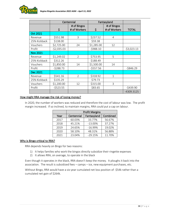

|                 | Centennial   |                             | Fantasyland |                             |              |
|-----------------|--------------|-----------------------------|-------------|-----------------------------|--------------|
|                 | \$           | # of Bingos<br># of Workers | \$          | # of Bingos<br># of Workers | <b>TOTAL</b> |
| <b>Oct 2021</b> |              |                             |             |                             |              |
| Revenue         | \$551.98     | 3                           | \$237.52    | 4                           |              |
| 25% Kickback    | \$138.00     |                             | \$59.38     |                             |              |
| Vouchers        | \$2,725.00   | 24                          | \$1,285.00  | 12                          |              |
| Profit          | $-52,035.03$ |                             | $-5988.10$  |                             | $-53,023.13$ |
| <b>Nov 2021</b> |              |                             |             |                             |              |
| Revenue         | \$1,249.02   | $\overline{2}$              | \$753.95    | 5                           |              |
| 25% Kickback    | \$312.26     |                             | \$188.49    |                             |              |
| Vouchers        | \$1,850.00   | 14                          | \$1,500.00  | 14                          |              |
| Profit          | $-5288.73$   |                             | $-5557.56$  |                             | $-$846.29$   |
| Dec 2021        |              |                             |             |                             |              |
| Revenue         | \$541.16     | $\overline{2}$              | \$318.92    | $\mathbf{1}$                |              |
| 25% Kickback    | \$135.29     |                             | \$79.73     |                             |              |
| Vouchers        | \$1,200.00   | 12                          | \$315.00    | 3                           |              |
| Profit          | $-5523.55$   |                             | \$83.65     |                             | $-5439.90$   |
|                 |              |                             |             |                             | -4309.3125   |

## How might RRA manage the risk of losing money?

In 2020, the number of workers was reduced and therefore the cost of labour was low. The profit margin increased. If so inclined, to maintain margins, RRA could put a cap on labour.

|      | <b>Profit Margins</b> |             |          |  |  |
|------|-----------------------|-------------|----------|--|--|
| Year | Centennial            | Fantasyland | Combined |  |  |
| 2017 | 60.03%                | 33.77%      | 56.67%   |  |  |
| 2018 | 45.21%                | $-13.00%$   | 37.27%   |  |  |
| 2019 | 24.65%                | $-16.99%$   | 19.02%   |  |  |
| 2020 | 58.10%                | 48.31%      | 56.88%   |  |  |
| 2021 | 23.04%                | $-29.15%$   | 11.70%   |  |  |

## Why is Bingo critical to RRA?

RRA depends heavily on Bingo for two reasons:

- 1) It helps families who work the bingos directly subsidize their ringette expenses
- 2) It allows RRA, on average, to operate in the black

Even though it operates in the black, RRA doesn't keep the money. It ploughs it back into the association. The result is subsidized fees – camps – ice, new equipment purchases, etc.

Without Bingo, RRA would have a six-year cumulated net loss position of -\$54k rather than a cumulated net gain of \$264k.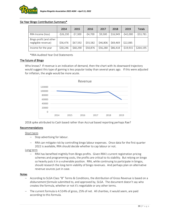

## Six Year Bingo Contribution Summary\*

|                                                | 2014       | 2015      | 2016      | 2017     | 2018     | 2019       | <b>Totals</b> |
|------------------------------------------------|------------|-----------|-----------|----------|----------|------------|---------------|
| RRA Income (loss)                              | $-526,230$ | $-57,300$ | $-54,700$ | \$9,500  | \$16,949 | $-542,000$ | $-553,781$    |
| Bingo profit (and other<br>negligible revenue) | \$56,476   | \$67,592  | \$55,582  | \$46,806 | \$69,469 | \$22,085   |               |
| Income for the year                            | \$30,246   | \$60,290  | \$50,876  | \$56,280 | \$86,418 | $-519,915$ | \$264.195     |

\*RRA Audited Year End Statements

## The future of Bingo

Who knows? If revenue is an indication of demand, then the chart with its downward trajectory would suggest this type of gaming is less popular today than several years ago. If this were adjusted for inflation, the angle would be more acute.



2018 spike attributed to Cash based rather than Accrual based reporting perhaps Rae?

## Recommendations

## Short term

- − Stop advertising for labour.
- − RRA can mitigate risk by controlling bingo labour expenses. Once data for the first quarter 2022 is available, RRA should decide whether to cap labour or not.

Long term

− RRA has benefited mightily from Bingo profits. Given RRA's current registration pricing schemes and programming costs, the profits are critical to its stability. But relying on bingo so heavily puts it in a vulnerable position. RRA, while continuing to participate in bingos, should research the long-term viability of bingo revenues. And perhaps plan on alternative revenue sources just in case.

## Notes

- − According to SLGA Class "B" Terms & Conditions, the distribution of Gross Revenue is based on a *disbursement formula* submitted to, and approved by, SLGA. The document doesn't say who creates the formula, whether or not it's negotiable or any other terms.
- − The current formula is 4.514% of gross, 25% of net. All charities, it would seem, are paid according to this formula.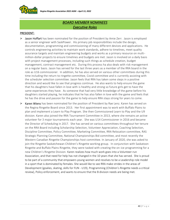

# *BOARD MEMBER NOMINEES Executive Roles*

## PRESIDENT:

- ➢ Jason Hoffart has been nominated for the position of President by Amie Zerr. Jason is employed as a senior engineer with SaskPower. His primary job responsibilities include the design, documentation, programming and commissioning of many different devices and applications. He controls engineering activities to maintain work standards, adhere to timelines, meet quality assurance targets and maintain engineering budgets and works as a primary resource on multimillion-dollar projects to ensure timelines and budgets are met. Jason is involved on a daily basis with project management processes, including such things as schedule creation, budget management, contract management etc. During this process ha also deals with risk management on a regular basis. Jason has served for the last three years as a member of the RRA board in the role as U16 commissioner. In addition, he has also served on various other committees during this time including the return to ringette committee, Covid committee and is currently assisting with the scheduler selection committee. Jason feels that RRA has taken some steps in a positive direction and would like to see that progress continue. He also wants to help ensure the game that his daughters have fallen in love with is healthy and strong so future girls get to have the same experiences they have. As someone that had very little knowledge of the game before his daughters started playing, he indicates that he has also fallen in love with the game and feels that he has the drive and passion for the game to help ensure RRA stays strong for years to come.
- ➢ Karen Wiens has been nominated for the position of President by Rae Lenz. Karen has served on the Regina Ringette Board since 2013. Her first appointment was to work with Buffalo Plains to plan and implement a Learn to Play Program. She then Commissioned Learn to Play and the U9 division. Karen also joined the RRA Tournament Committee in 2013, where she remains an active volunteer for 3 major tournaments each year. She was U14 Commissioner in 2016 and became the Director of Scheduling in 2017. She has served on various committees throughout her tenure on the RRA Board including Scholarship Selection, Volunteer Appreciation, Coaching Selection, Discipline Committee, Policy Committee, Marketing Committee, RRA Relocation committee, RAS Strategic Planning Committee, National Championships Bid committee, and most recently the Western Canadian Ringette Championships host committee. In January of 2020, she was asked to join the Ringette Saskatchewan Children's Ringette working group. In conjunction with Saskatoon Ringette and Buffalo Plains Ringette, they were tasked with creating the on-ice programming for a new Children's Ringette Division. Karen realizes how much work goes into a Volunteer-run Association, and that need for help has not changed in the 10 years that she has served. She is proud to be part of a community that empowers young women and resolves to be a Leadership role model in a sport that is dominated by females. She would like to see RRA make strides in the areas of Development (goalies, skating, skills for FUN - U19), Programming (Children's Ringette needs a critical review), Policy enforcement, and wants to ensure that the B division needs are being met.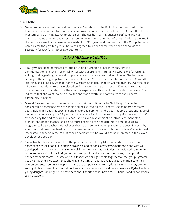

## SECRETARY:

 $\triangleright$  Darla Larson has served the past two years as Secretary for the RRA. She has been part of the Tournament Committee for three years and was recently a member of the Host Committee for the Western Canadian Ringette Championships. She has her Team Manager certificate and has managed teams that her daughter has been on over the last number of years. Darla has worked in the corporate world as an executive assistant for 30+ years and has been with the Co-op Refinery Complex for the past ten years. Darla has agreed to let her name stand and to serve as the Secretary for RRA for another two-year term.

# *BOARD MEMBER NOMINEES Director Roles*

- $\triangleright$  Kim Byrns has been nominated for the position of Director by Karen Wiens. Kim is a communication analyst or technical writer with SaskTel and is primarily responsible for writing, editing, and organizing technical support content for customers and employees. She has been serving as the acting Registrar for RRA since January 2022 and is a member of the Host Committee (clothing, social media, website) for the Western Canadian Ringette Championships. Over the past 12 seasons, her daughters have played on 28 ringette teams at all levels. Kim indicates that she loves ringette and is grateful for the amazing experiences this sport has provided her family. She indicates that she wants to help grow the sport of ringette and contribute to the ringette community in Regina.
- ➢ Marcel Garnier has been nominated for the position of Director by Neil Stang. Marcel has considerable experience with the sport and has served on the Ringette Regina board for many years including 4 years as coaching and player development and 2 years as vice president. Marcel has run a ringette camp for 27 years and the reputation it has gained usually fills the camp for 90 attendees by the end of March. As coach and player development he introduced mandatory criminal checks for coaches and being retired feels he can dedicate more time developing programs to help coaches. He believes that he can serve RRA in upgrading the coaching pool by educating and providing feedback to the coaches which is lacking right now. While Marcel is most interested in serving in the role of coach development, he would also be interested in the player development position.
- $\triangleright$  Ryder Lee has been nominated for the position of Director by Marshall Verhelst. Ryder is an experienced association CEO bringing provincial and national advocacy experience along with welldeveloped governance and management skills to the organization. Ryder is a dedicated community volunteer as a softball coach, ringette treasurer, public address announcer or any other position needed from his teams. He is viewed as a leader who brings people together for the group's greater goal. He has extensive experience chairing and sitting on boards and is a great communicator in a one-on-one setting or in a group and is also a great public speaker. Ryder's calm demeanor, problem solving skills and flexibility would allow him to succeed in any of the director positions. Ryder has two young daughters in ringette, is passionate about sports and is known for his honest and fair approach to all situations.